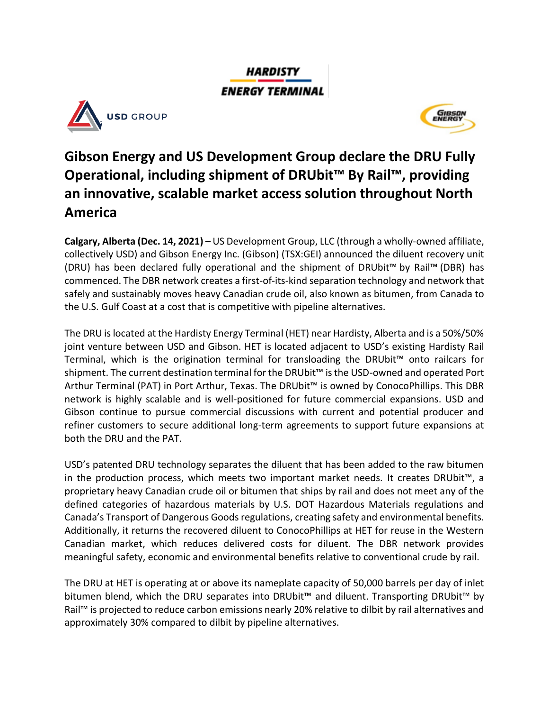## **HARDISTY ENERGY TERMINAL**





# **Gibson Energy and US Development Group declare the DRU Fully Operational, including shipment of DRUbit™ By Rail™ , providing an innovative, scalable market access solution throughout North America**

**Calgary, Alberta (Dec. 14, 2021)** – US Development Group, LLC (through a wholly-owned affiliate, collectively USD) and Gibson Energy Inc. (Gibson) (TSX:GEI) announced the diluent recovery unit (DRU) has been declared fully operational and the shipment of DRUbit™ by Rail™ (DBR) has commenced. The DBR network creates a first-of-its-kind separation technology and network that safely and sustainably moves heavy Canadian crude oil, also known as bitumen, from Canada to the U.S. Gulf Coast at a cost that is competitive with pipeline alternatives.

The DRU is located at the Hardisty Energy Terminal (HET) near Hardisty, Alberta and is a 50%/50% joint venture between USD and Gibson. HET is located adjacent to USD's existing Hardisty Rail Terminal, which is the origination terminal for transloading the DRUbit™ onto railcars for shipment. The current destination terminal for the DRUbit™ is the USD-owned and operated Port Arthur Terminal (PAT) in Port Arthur, Texas. The DRUbit™ is owned by ConocoPhillips. This DBR network is highly scalable and is well-positioned for future commercial expansions. USD and Gibson continue to pursue commercial discussions with current and potential producer and refiner customers to secure additional long-term agreements to support future expansions at both the DRU and the PAT.

USD's patented DRU technology separates the diluent that has been added to the raw bitumen in the production process, which meets two important market needs. It creates DRUbit™, a proprietary heavy Canadian crude oil or bitumen that ships by rail and does not meet any of the defined categories of hazardous materials by U.S. DOT Hazardous Materials regulations and Canada's Transport of Dangerous Goods regulations, creating safety and environmental benefits. Additionally, it returns the recovered diluent to ConocoPhillips at HET for reuse in the Western Canadian market, which reduces delivered costs for diluent. The DBR network provides meaningful safety, economic and environmental benefits relative to conventional crude by rail.

The DRU at HET is operating at or above its nameplate capacity of 50,000 barrels per day of inlet bitumen blend, which the DRU separates into DRUbit™ and diluent. Transporting DRUbit™ by Rail™ is projected to reduce carbon emissions nearly 20% relative to dilbit by rail alternatives and approximately 30% compared to dilbit by pipeline alternatives.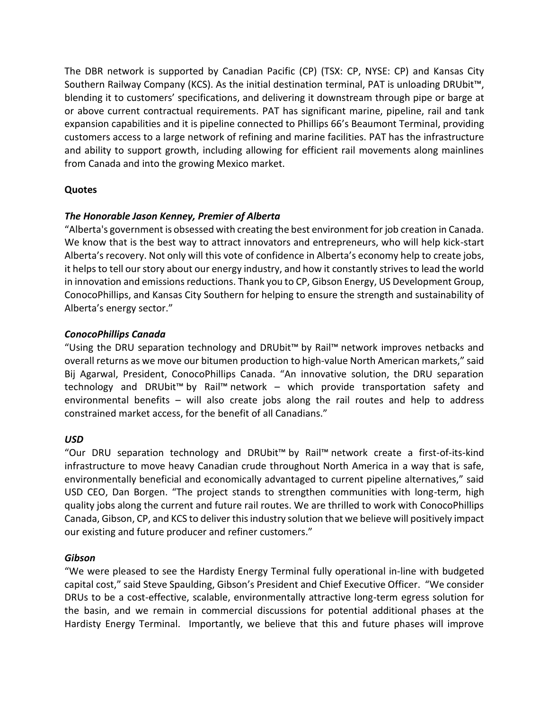The DBR network is supported by Canadian Pacific (CP) (TSX: CP, NYSE: CP) and Kansas City Southern Railway Company (KCS). As the initial destination terminal, PAT is unloading DRUbit™, blending it to customers' specifications, and delivering it downstream through pipe or barge at or above current contractual requirements. PAT has significant marine, pipeline, rail and tank expansion capabilities and it is pipeline connected to Phillips 66's Beaumont Terminal, providing customers access to a large network of refining and marine facilities. PAT has the infrastructure and ability to support growth, including allowing for efficient rail movements along mainlines from Canada and into the growing Mexico market.

#### **Quotes**

#### *The Honorable Jason Kenney, Premier of Alberta*

"Alberta's government is obsessed with creating the best environment for job creation in Canada. We know that is the best way to attract innovators and entrepreneurs, who will help kick-start Alberta's recovery. Not only will this vote of confidence in Alberta's economy help to create jobs, it helps to tell our story about our energy industry, and how it constantly strives to lead the world in innovation and emissions reductions. Thank you to CP, Gibson Energy, US Development Group, ConocoPhillips, and Kansas City Southern for helping to ensure the strength and sustainability of Alberta's energy sector."

#### *ConocoPhillips Canada*

"Using the DRU separation technology and DRUbit™ by Rail™ network improves netbacks and overall returns as we move our bitumen production to high-value North American markets," said Bij Agarwal, President, ConocoPhillips Canada. "An innovative solution, the DRU separation technology and DRUbit™ by Rail™ network – which provide transportation safety and environmental benefits – will also create jobs along the rail routes and help to address constrained market access, for the benefit of all Canadians."

#### *USD*

"Our DRU separation technology and DRUbit™ by Rail™ network create a first-of-its-kind infrastructure to move heavy Canadian crude throughout North America in a way that is safe, environmentally beneficial and economically advantaged to current pipeline alternatives," said USD CEO, Dan Borgen. "The project stands to strengthen communities with long-term, high quality jobs along the current and future rail routes. We are thrilled to work with ConocoPhillips Canada, Gibson, CP, and KCS to deliver this industry solution that we believe will positively impact our existing and future producer and refiner customers."

## *Gibson*

"We were pleased to see the Hardisty Energy Terminal fully operational in-line with budgeted capital cost," said Steve Spaulding, Gibson's President and Chief Executive Officer. "We consider DRUs to be a cost-effective, scalable, environmentally attractive long-term egress solution for the basin, and we remain in commercial discussions for potential additional phases at the Hardisty Energy Terminal. Importantly, we believe that this and future phases will improve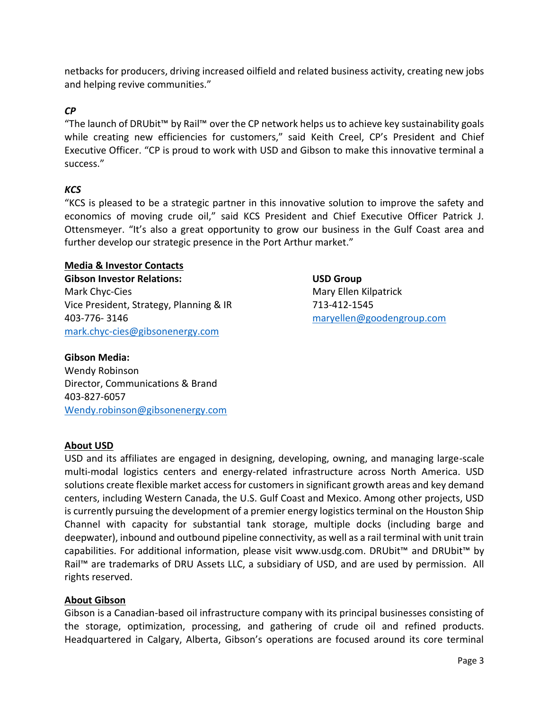netbacks for producers, driving increased oilfield and related business activity, creating new jobs and helping revive communities."

#### *CP*

"The launch of DRUbit™ by Rail™ over the CP network helps us to achieve key sustainability goals while creating new efficiencies for customers," said Keith Creel, CP's President and Chief Executive Officer. "CP is proud to work with USD and Gibson to make this innovative terminal a success."

#### *KCS*

"KCS is pleased to be a strategic partner in this innovative solution to improve the safety and economics of moving crude oil," said KCS President and Chief Executive Officer Patrick J. Ottensmeyer. "It's also a great opportunity to grow our business in the Gulf Coast area and further develop our strategic presence in the Port Arthur market."

#### **Media & Investor Contacts**

**Gibson Investor Relations:** Mark Chyc-Cies Vice President, Strategy, Planning & IR 403-776- 3146 [mark.chyc-cies@gibsonenergy.com](mailto:mark.chyc-cies@gibsonenergy.com) 

**USD Group** Mary Ellen Kilpatrick 713-412-1545 [maryellen@goodengroup.com](mailto:maryellen@goodengroup.com)

## **Gibson Media:**

Wendy Robinson Director, Communications & Brand 403-827-6057 [Wendy.robinson@gibsonenergy.com](mailto:Wendy.robinson@gibsonenergy.com)

## **About USD**

USD and its affiliates are engaged in designing, developing, owning, and managing large-scale multi-modal logistics centers and energy-related infrastructure across North America. USD solutions create flexible market access for customers in significant growth areas and key demand centers, including Western Canada, the U.S. Gulf Coast and Mexico. Among other projects, USD is currently pursuing the development of a premier energy logistics terminal on the Houston Ship Channel with capacity for substantial tank storage, multiple docks (including barge and deepwater), inbound and outbound pipeline connectivity, as well as a rail terminal with unit train capabilities. For additional information, please visit www.usdg.com. DRUbit™ and DRUbit™ by Rail™ are trademarks of DRU Assets LLC, a subsidiary of USD, and are used by permission. All rights reserved.

## **About Gibson**

Gibson is a Canadian-based oil infrastructure company with its principal businesses consisting of the storage, optimization, processing, and gathering of crude oil and refined products. Headquartered in Calgary, Alberta, Gibson's operations are focused around its core terminal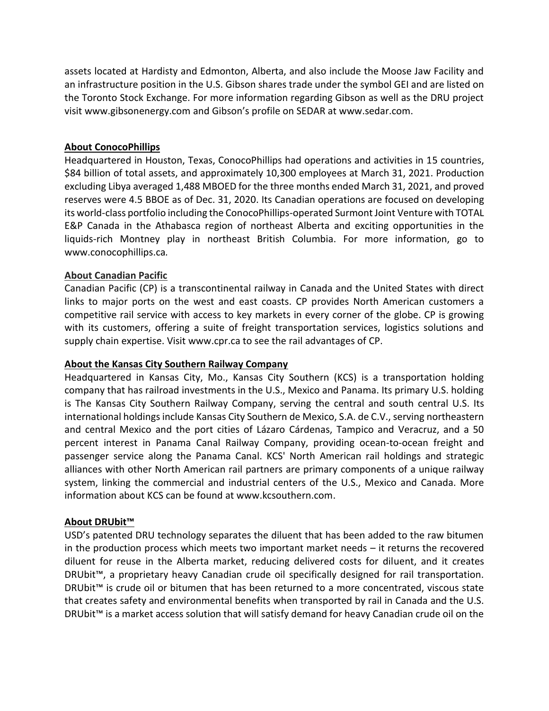assets located at Hardisty and Edmonton, Alberta, and also include the Moose Jaw Facility and an infrastructure position in the U.S. Gibson shares trade under the symbol GEI and are listed on the Toronto Stock Exchange. For more information regarding Gibson as well as the DRU project visit www.gibsonenergy.com and Gibson's profile on SEDAR at www.sedar.com.

#### **About ConocoPhillips**

Headquartered in Houston, Texas, ConocoPhillips had operations and activities in 15 countries, \$84 billion of total assets, and approximately 10,300 employees at March 31, 2021. Production excluding Libya averaged 1,488 MBOED for the three months ended March 31, 2021, and proved reserves were 4.5 BBOE as of Dec. 31, 2020. Its Canadian operations are focused on developing its world-class portfolio including the ConocoPhillips-operated Surmont Joint Venture with TOTAL E&P Canada in the Athabasca region of northeast Alberta and exciting opportunities in the liquids-rich Montney play in northeast British Columbia. For more information, go to www.conocophillips.ca*.*

#### **About Canadian Pacific**

Canadian Pacific (CP) is a transcontinental railway in Canada and the United States with direct links to major ports on the west and east coasts. CP provides North American customers a competitive rail service with access to key markets in every corner of the globe. CP is growing with its customers, offering a suite of freight transportation services, logistics solutions and supply chain expertise. Visit www.cpr.ca to see the rail advantages of CP.

#### **About the Kansas City Southern Railway Company**

Headquartered in Kansas City, Mo., Kansas City Southern (KCS) is a transportation holding company that has railroad investments in the U.S., Mexico and Panama. Its primary U.S. holding is The Kansas City Southern Railway Company, serving the central and south central U.S. Its international holdings include Kansas City Southern de Mexico, S.A. de C.V., serving northeastern and central Mexico and the port cities of Lázaro Cárdenas, Tampico and Veracruz, and a 50 percent interest in Panama Canal Railway Company, providing ocean-to-ocean freight and passenger service along the Panama Canal. KCS' North American rail holdings and strategic alliances with other North American rail partners are primary components of a unique railway system, linking the commercial and industrial centers of the U.S., Mexico and Canada. More information about KCS can be found at www.kcsouthern.com.

#### **About DRUbit™**

USD's patented DRU technology separates the diluent that has been added to the raw bitumen in the production process which meets two important market needs – it returns the recovered diluent for reuse in the Alberta market, reducing delivered costs for diluent, and it creates DRUbit™, a proprietary heavy Canadian crude oil specifically designed for rail transportation. DRUbit™ is crude oil or bitumen that has been returned to a more concentrated, viscous state that creates safety and environmental benefits when transported by rail in Canada and the U.S. DRUbit™ is a market access solution that will satisfy demand for heavy Canadian crude oil on the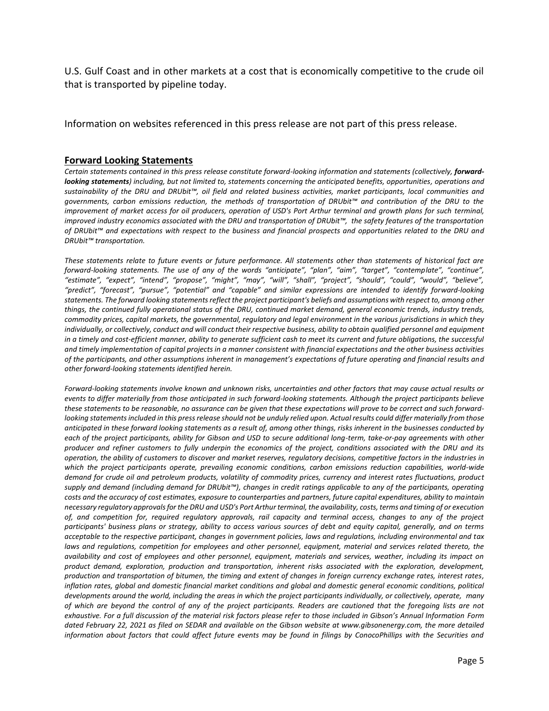U.S. Gulf Coast and in other markets at a cost that is economically competitive to the crude oil that is transported by pipeline today.

Information on websites referenced in this press release are not part of this press release.

#### **Forward Looking Statements**

Certain statements contained in this press release constitute forward-looking information and statements (collectively, forward*looking statements) including, but not limited to, statements concerning the anticipated benefits, opportunities, operations and sustainability of the DRU and DRUbit™, oil field and related business activities, market participants, local communities and governments, carbon emissions reduction, the methods of transportation of DRUbit™ and contribution of the DRU to the improvement of market access for oil producers, operation of USD's Port Arthur terminal and growth plans for such terminal, improved industry economics associated with the DRU and transportation of DRUbit™, the safety features of the transportation of DRUbit™ and expectations with respect to the business and financial prospects and opportunities related to the DRU and DRUbit™ transportation.* 

*These statements relate to future events or future performance. All statements other than statements of historical fact are forward-looking statements. The use of any of the words "anticipate", "plan", "aim", "target", "contemplate", "continue", "estimate", "expect", "intend", "propose", "might", "may", "will", "shall", "project", "should", "could", "would", "believe", "predict", "forecast", "pursue", "potential" and "capable" and similar expressions are intended to identify forward-looking statements. The forward looking statements reflect the project participant's beliefs and assumptions with respect to, among other things, the continued fully operational status of the DRU, continued market demand, general economic trends, industry trends, commodity prices, capital markets, the governmental, regulatory and legal environment in the various jurisdictions in which they individually, or collectively, conduct and will conduct their respective business, ability to obtain qualified personnel and equipment in a timely and cost-efficient manner, ability to generate sufficient cash to meet its current and future obligations, the successful and timely implementation of capital projects in a manner consistent with financial expectations and the other business activities of the participants, and other assumptions inherent in management's expectations of future operating and financial results and other forward-looking statements identified herein.*

*Forward-looking statements involve known and unknown risks, uncertainties and other factors that may cause actual results or events to differ materially from those anticipated in such forward-looking statements. Although the project participants believe these statements to be reasonable, no assurance can be given that these expectations will prove to be correct and such forwardlooking statements included in this press release should not be unduly relied upon. Actual results could differ materially from those anticipated in these forward looking statements as a result of, among other things, risks inherent in the businesses conducted by each of the project participants, ability for Gibson and USD to secure additional long-term, take-or-pay agreements with other producer and refiner customers to fully underpin the economics of the project, conditions associated with the DRU and its operation, the ability of customers to discover and market reserves, regulatory decisions, competitive factors in the industries in which the project participants operate, prevailing economic conditions, carbon emissions reduction capabilities, world-wide demand for crude oil and petroleum products, volatility of commodity prices, currency and interest rates fluctuations, product supply and demand (including demand for DRUbit™), changes in credit ratings applicable to any of the participants, operating costs and the accuracy of cost estimates, exposure to counterparties and partners, future capital expenditures, ability to maintain necessary regulatory approvals for the DRU and USD's Port Arthur terminal, the availability, costs, terms and timing of or execution of, and competition for, required regulatory approvals, rail capacity and terminal access, changes to any of the project participants' business plans or strategy, ability to access various sources of debt and equity capital, generally, and on terms acceptable to the respective participant, changes in government policies, laws and regulations, including environmental and tax laws and regulations, competition for employees and other personnel, equipment, material and services related thereto, the availability and cost of employees and other personnel, equipment, materials and services, weather, including its impact on product demand, exploration, production and transportation, inherent risks associated with the exploration, development, production and transportation of bitumen, the timing and extent of changes in foreign currency exchange rates, interest rates, inflation rates, global and domestic financial market conditions and global and domestic general economic conditions, political developments around the world, including the areas in which the project participants individually, or collectively, operate, many of which are beyond the control of any of the project participants. Readers are cautioned that the foregoing lists are not exhaustive. For a full discussion of the material risk factors please refer to those included in Gibson's Annual Information Form dated February 22, 2021 as filed on SEDAR and available on the Gibson website at www.gibsonenergy.com, the more detailed information about factors that could affect future events may be found in filings by ConocoPhillips with the Securities and*